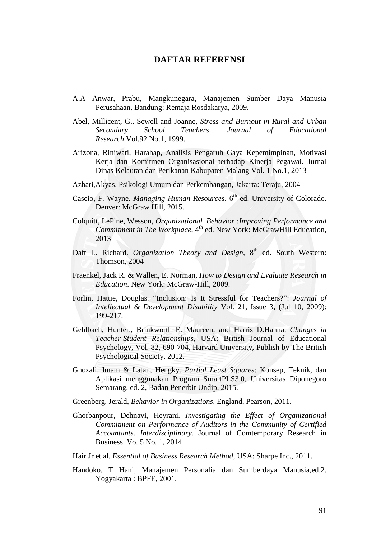## **DAFTAR REFERENSI**

- A.A Anwar, Prabu, Mangkunegara, Manajemen Sumber Daya Manusia Perusahaan, Bandung: Remaja Rosdakarya, 2009.
- Abel, Millicent, G., Sewell and Joanne, *Stress and Burnout in Rural and Urban Secondary School Teachers*. *Journal of Educational Research*.Vol.92.No.1, 1999.
- Arizona, Riniwati, Harahap, Analisis Pengaruh Gaya Kepemimpinan, Motivasi Kerja dan Komitmen Organisasional terhadap Kinerja Pegawai. Jurnal Dinas Kelautan dan Perikanan Kabupaten Malang Vol. 1 No.1, 2013
- Azhari,Akyas. Psikologi Umum dan Perkembangan, Jakarta: Teraju, 2004
- Cascio, F. Wayne. *Managing Human Resources*. 6<sup>th</sup> ed. University of Colorado. Denver: McGraw Hill, 2015.
- Colquitt, LePine, Wesson, *Organizational Behavior :Improving Performance and*  Commitment in The Workplace, 4<sup>th</sup> ed. New York: McGrawHill Education, 2013
- Daft L. Richard. *Organization Theory and Design*, 8<sup>th</sup> ed. South Western: Thomson, 2004
- Fraenkel, Jack R. & Wallen, E. Norman, *How to Design and Evaluate Research in Education*. New York: McGraw-Hill, 2009.
- Forlin, Hattie, Douglas. "Inclusion: Is It Stressful for Teachers?": *Journal of Intellectual & Development Disability* Vol. 21, Issue 3, (Jul 10, 2009): 199-217.
- Gehlbach, Hunter., Brinkworth E. Maureen, and Harris D.Hanna. *Changes in Teacher-Student Relationships*, USA: British Journal of Educational Psychology, Vol. 82, 690-704, Harvard University, Publish by The British Psychological Society, 2012.
- Ghozali, Imam & Latan, Hengky. *Partial Least Squares*: Konsep, Teknik, dan Aplikasi menggunakan Program SmartPLS3.0, Universitas Diponegoro Semarang, ed. 2, Badan Penerbit Undip, 2015.
- Greenberg, Jerald, *Behavior in Organizations,* England, Pearson, 2011.
- Ghorbanpour, Dehnavi, Heyrani*. Investigating the Effect of Organizational Commitment on Performance of Auditors in the Community of Certified Accountants. Interdisciplinary.* Journal of Comtemporary Research in Business. Vo. 5 No. 1, 2014
- Hair Jr et al, *Essential of Business Research Method*, USA: Sharpe Inc., 2011.
- Handoko, T Hani, Manajemen Personalia dan Sumberdaya Manusia,ed.2. Yogyakarta : BPFE, 2001.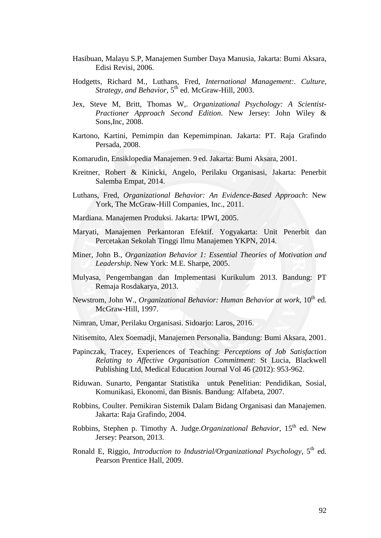- Hasibuan, Malayu S.P, Manajemen Sumber Daya Manusia, Jakarta: Bumi Aksara, Edisi Revisi, 2006.
- Hodgetts, Richard M., Luthans, Fred, *International Management:. Culture, Strategy, and Behavior*, 5th ed. McGraw-Hill, 2003.
- Jex, Steve M, Britt, Thomas W,. *Organizational Psychology: A Scientist-Practioner Approach Second Edition*. New Jersey: John Wiley & Sons,Inc, 2008.
- Kartono, Kartini, Pemimpin dan Kepemimpinan. Jakarta: PT. Raja Grafindo Persada, 2008.
- Komarudin, Ensiklopedia Manajemen. 9 ed. Jakarta: Bumi Aksara, 2001.
- Kreitner, Robert & Kinicki, Angelo, Perilaku Organisasi, Jakarta: Penerbit Salemba Empat, 2014.
- Luthans, Fred, *Organizational Behavior: An Evidence-Based Approach*: New York, The McGraw-Hill Companies, Inc., 2011.
- Mardiana. Manajemen Produksi. Jakarta: IPWI, 2005.
- Maryati, Manajemen Perkantoran Efektif. Yogyakarta: Unit Penerbit dan Percetakan Sekolah Tinggi Ilmu Manajemen YKPN, 2014.
- Miner, John B., *Organization Behavior 1: Essential Theories of Motivation and Leadership*. New York: M.E. Sharpe, 2005.
- Mulyasa, Pengembangan dan Implementasi Kurikulum 2013. Bandung: PT Remaja Rosdakarya, 2013.
- Newstrom, John W., *Organizational Behavior: Human Behavior at work*,  $10^{th}$  ed. McGraw-Hill, 1997.
- Nimran, Umar, Perilaku Organisasi. Sidoarjo: Laros, 2016.
- Nitisemito, Alex Soemadji, Manajemen Personalia. Bandung: Bumi Aksara, 2001.
- Papinczak, Tracey, Experiences of Teaching: *Perceptions of Job Satisfaction Relating to Affective Organisation Commitment*: St Lucia, Blackwell Publishing Ltd, Medical Education Journal Vol 46 (2012): 953-962.
- Riduwan. Sunarto, Pengantar Statistika untuk Penelitian: Pendidikan, Sosial, Komunikasi, Ekonomi, dan Bisnis. Bandung: Alfabeta, 2007.
- Robbins, Coulter. Pemikiran Sistemik Dalam Bidang Organisasi dan Manajemen. Jakarta: Raja Grafindo, 2004.
- Robbins, Stephen p. Timothy A. Judge.*Organizational Behavior*, 15<sup>th</sup> ed. New Jersey: Pearson, 2013.
- Ronald E, Riggio, *Introduction to Industrial/Organizational Psychology*, 5<sup>th</sup> ed. Pearson Prentice Hall, 2009.